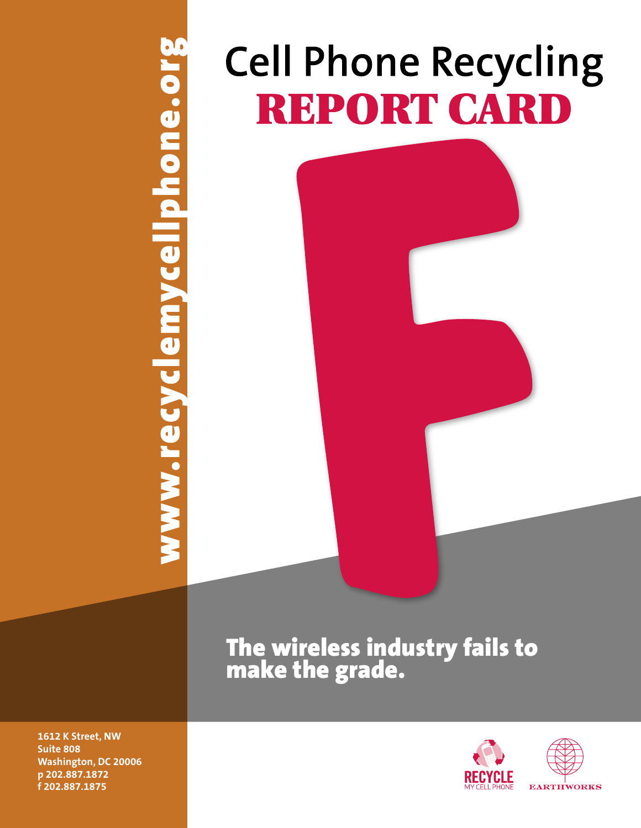# ww.recyclemycellphone.org

# **Cell Phone Recycling REPORT CARD**



**1612 K Street, NW Suite 808 Washington, DC 20006 p 202.887.1872 f 202.887.1875**

# The wireless industry fails to make the grade.

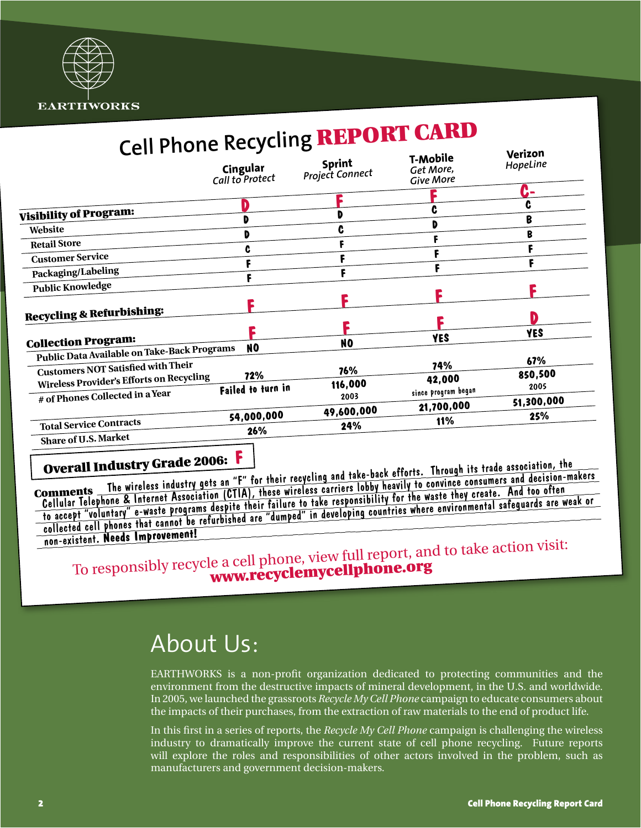

# **Cell Phone Recycling** REPORT CARD

| <b>CCII I IIOII - - -</b> -                                                                                                                                             | Cingular<br>Call to Protect | Sprint<br>Project Connect | T-Mobile<br>Get More,<br><b>Give More</b>          | Verizon<br>HopeLine                  |
|-------------------------------------------------------------------------------------------------------------------------------------------------------------------------|-----------------------------|---------------------------|----------------------------------------------------|--------------------------------------|
| <b>Visibility of Program:</b><br>Website<br><b>Retail Store</b><br><b>Customer Service</b><br>Packaging/Labeling                                                        | D<br>D<br>C                 | D<br>c                    | C<br>D                                             | C-<br>C<br>B<br>B<br>F<br>F          |
| <b>Public Knowledge</b><br>Recycling & Refurbishing:                                                                                                                    |                             |                           |                                                    |                                      |
| <b>Collection Program:</b>                                                                                                                                              | N <sub>0</sub>              | NO                        | <b>YES</b>                                         | <b>YES</b>                           |
| Public Data Available on Take-Back Programs<br><b>Customers NOT Satisfied with Their</b><br>Wireless Provider's Efforts on Recycling<br># of Phones Collected in a Year | 72%<br>Failed to turn in    | 76%<br>116,000<br>2003    | 74%<br>42,000<br>since program began<br>21,700,000 | 67%<br>850,500<br>2005<br>51,300,000 |
| <b>Total Service Contracts</b><br>Share of U.S. Market                                                                                                                  | 54,000,000<br>26%           | 49,600,000<br>24%         | 11%                                                | 25%                                  |

# Overall Industry Grade 2006: **<sup>F</sup>**

Overain inductive, by the matrice of their recycling and take-back efforts. Infough its trade association, makers<br>Comments The wireless industry gets an "F" for their recycling and take-back efforts. Infough its trade asso Comments The wireless industry gets an "F" for their recycling and take-back ettorts. Influent is in the state of the wireless industry gets an "F" for their recycling and take-back ettorts. Influent is in the and decision Cellular Telephone & Internet Association (UTIA), these whole the proposibility for the waste they create. This is the control Cellular Telephone & Internet Association (UTIA), these world take responsibility for the waste to accept "voluntary" e-waste programs despite their fariato is<br>collected cell phones that cannot be refurbished are "dumped" in developing countries where environmental sateguardo are collected cell phones that cannot be returbished are dumpod ...<br>
non-existent. Needs Improvement! Comments The wireless industry gets an "F" for their recycling and take-back efforts. Through its trade association, the<br>Comments The Oldings Locopiation (CTIA), these wireless carriers lobby heavily to convince consumers to accep<sup>t</sup> "voluntary" e-waste programs despite their failure to take responsibility for the waste they create. And too often Cellular Telephone & Internet Association (UTIM) interfaction take responsibility for the waste they croated the<br>to accept "voluntary" e-waste programs despite their failure to take responsibility for the waste iney croate

non-existent. **Needs Improvement!**

To responsibly recycle <sup>a</sup> cell <sup>p</sup>hone, view full report, and to take action visit: www.recyclemycellphone.org

# About Us:

EARTHWORKS is a non-profit organization dedicated to protecting communities and the environment from the destructive impacts of mineral development, in the U.S. and worldwide. In 2005, we launched the grassroots *Recycle My Cell Phone* campaign to educate consumers about the impacts of their purchases, from the extraction of raw materials to the end of product life.

In this first in a series of reports, the *Recycle My Cell Phone* campaign is challenging the wireless industry to dramatically improve the current state of cell phone recycling. Future reports will explore the roles and responsibilities of other actors involved in the problem, such as manufacturers and government decision-makers.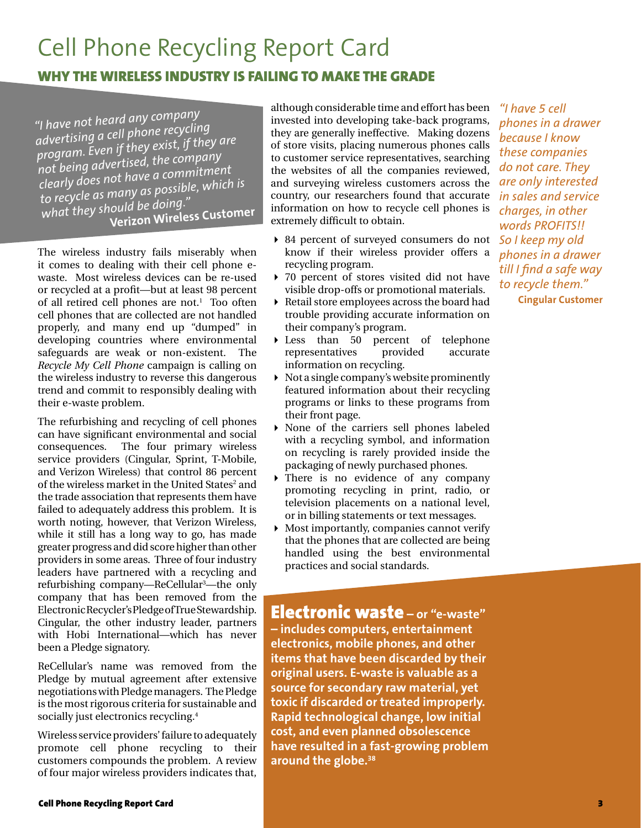# Cell Phone Recycling Report Card Why the Wireless Industry is Failing to Make the Grade

*"I have not heard any company advertising a cell phone recycling program. Even if they exist, if they are not being advertised, the company clearly does not have a commitment to recycle as many as possible, which is what they should be doing."*  **Verizon Wireless Customer**

The wireless industry fails miserably when it comes to dealing with their cell phone ewaste. Most wireless devices can be re-used or recycled at a profit—but at least 98 percent of all retired cell phones are not.<sup>1</sup> Too often cell phones that are collected are not handled properly, and many end up "dumped" in developing countries where environmental safeguards are weak or non-existent. The *Recycle My Cell Phone* campaign is calling on the wireless industry to reverse this dangerous trend and commit to responsibly dealing with their e-waste problem.

The refurbishing and recycling of cell phones can have significant environmental and social consequences. The four primary wireless service providers (Cingular, Sprint, T-Mobile, and Verizon Wireless) that control 86 percent of the wireless market in the United States<sup>2</sup> and the trade association that represents them have failed to adequately address this problem. It is worth noting, however, that Verizon Wireless, while it still has a long way to go, has made greater progress and did score higher than other providers in some areas. Three of four industry leaders have partnered with a recycling and refurbishing company—ReCellular<sup>3</sup>—the only company that has been removed from the ElectronicRecycler'sPledgeofTrueStewardship. Cingular, the other industry leader, partners with Hobi International—which has never been a Pledge signatory.

ReCellular's name was removed from the Pledge by mutual agreement after extensive negotiationswithPledgemanagers. ThePledge is the most rigorous criteria for sustainable and socially just electronics recycling.<sup>4</sup>

Wireless service providers' failure to adequately promote cell phone recycling to their customers compounds the problem. A review of four major wireless providers indicates that, although considerable time and effort has been invested into developing take-back programs, they are generally ineffective. Making dozens of store visits, placing numerous phones calls to customer service representatives, searching the websites of all the companies reviewed, and surveying wireless customers across the country, our researchers found that accurate information on how to recycle cell phones is extremely difficult to obtain.

- ▶ 84 percent of surveyed consumers do not know if their wireless provider offers a recycling program.
- $\rightarrow$  70 percent of stores visited did not have visible drop-offs or promotional materials.
- $\triangleright$  Retail store employees across the board had trouble providing accurate information on their company's program.
- $\blacktriangleright$  Less than 50 percent of telephone representatives provided accurate information on recycling.
- $\triangleright$  Not a single company's website prominently featured information about their recycling programs or links to these programs from their front page.
- 4 None of the carriers sell phones labeled with a recycling symbol, and information on recycling is rarely provided inside the packaging of newly purchased phones.
- $\triangleright$  There is no evidence of any company promoting recycling in print, radio, or television placements on a national level, or in billing statements or text messages.
- 4 Most importantly, companies cannot verify that the phones that are collected are being handled using the best environmental practices and social standards.

Electronic waste **– or "e-waste" – includes computers, entertainment electronics, mobile phones, and other items that have been discarded by their original users. E-waste is valuable as a source for secondary raw material, yet toxic if discarded or treated improperly. Rapid technological change, low initial cost, and even planned obsolescence have resulted in a fast-growing problem around the globe.38**

*"I have 5 cell phones in a drawer because I know these companies do not care. They are only interested in sales and service charges, in other words PROFITS!! So I keep my old phones in a drawer till I find a safe way to recycle them."* 

**Cingular Customer**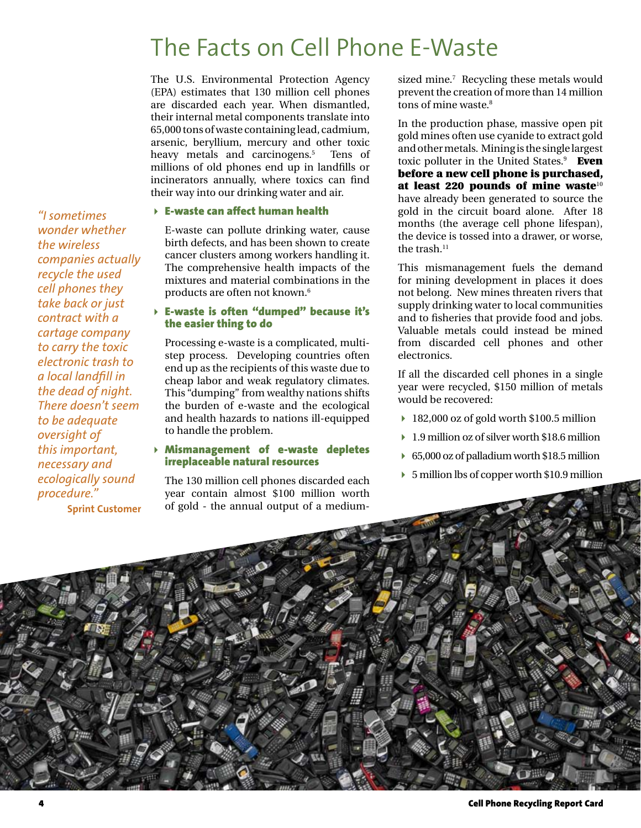# The Facts on Cell Phone E-Waste

The U.S. Environmental Protection Agency (EPA) estimates that 130 million cell phones are discarded each year. When dismantled, their internal metal components translate into 65,000 tonsofwaste containing lead, cadmium, arsenic, beryllium, mercury and other toxic heavy metals and carcinogens.<sup>5</sup> Tens of millions of old phones end up in landfills or incinerators annually, where toxics can find their way into our drinking water and air.

### 4 E-waste can affect human health

E-waste can pollute drinking water, cause birth defects, and has been shown to create cancer clusters among workers handling it. The comprehensive health impacts of the mixtures and material combinations in the products are often not known.6

### 4 E-waste is often "dumped" because it's the easier thing to do

 Processing e-waste is a complicated, multistep process. Developing countries often end up as the recipients of this waste due to cheap labor and weak regulatory climates. This "dumping" from wealthy nations shifts the burden of e-waste and the ecological and health hazards to nations ill-equipped to handle the problem.

### 4 Mismanagement of e-waste depletes irreplaceable natural resources

 The 130 million cell phones discarded each year contain almost \$100 million worth of gold - the annual output of a medium-

sized mine.<sup>7</sup> Recycling these metals would prevent the creation of more than 14 million tons of mine waste.<sup>8</sup>

 In the production phase, massive open pit gold mines often use cyanide to extract gold andothermetals. Miningis thesinglelargest toxic polluter in the United States.<sup>9</sup> Even before a new cell phone is purchased, at least 220 pounds of mine waste $10$ have already been generated to source the gold in the circuit board alone. After 18 months (the average cell phone lifespan), the device is tossed into a drawer, or worse, the trash.<sup>11</sup>

 This mismanagement fuels the demand for mining development in places it does not belong. New mines threaten rivers that supply drinking water to local communities and to fisheries that provide food and jobs. Valuable metals could instead be mined from discarded cell phones and other electronics.

 If all the discarded cell phones in a single year were recycled, \$150 million of metals would be recovered:

- ▶ 182,000 oz of gold worth \$100.5 million
- ▶ 1.9 million oz of silver worth \$18.6 million
- 4 65,000 oz of palladium worth \$18.5 million
- $\triangleright$  5 million lbs of copper worth \$10.9 million

*the wireless companies actually recycle the used cell phones they take back or just contract with a cartage company to carry the toxic electronic trash to a local landfill in the dead of night. There doesn't seem to be adequate oversight of this important, necessary and ecologically sound procedure."*

*"I sometimes wonder whether* 

**Sprint Customer**

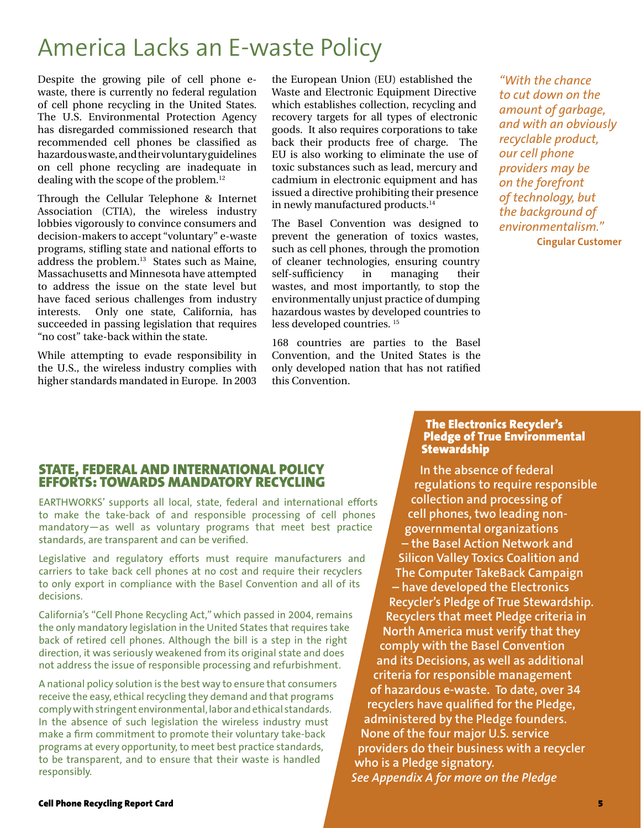# America Lacks an E-waste Policy

Despite the growing pile of cell phone ewaste, there is currently no federal regulation of cell phone recycling in the United States. The U.S. Environmental Protection Agency has disregarded commissioned research that recommended cell phones be classified as hazardouswaste,andtheirvoluntaryguidelines on cell phone recycling are inadequate in dealing with the scope of the problem.12

Through the Cellular Telephone & Internet Association (CTIA), the wireless industry lobbies vigorously to convince consumers and decision-makers to accept "voluntary" e-waste programs, stifling state and national efforts to address the problem.13 States such as Maine, Massachusetts and Minnesota have attempted to address the issue on the state level but have faced serious challenges from industry interests. Only one state, California, has succeeded in passing legislation that requires "no cost" take-back within the state.

While attempting to evade responsibility in the U.S., the wireless industry complies with higher standards mandated in Europe. In 2003

the European Union (EU) established the Waste and Electronic Equipment Directive which establishes collection, recycling and recovery targets for all types of electronic goods. It also requires corporations to take back their products free of charge. The EU is also working to eliminate the use of toxic substances such as lead, mercury and cadmium in electronic equipment and has issued a directive prohibiting their presence in newly manufactured products.14

The Basel Convention was designed to prevent the generation of toxics wastes, such as cell phones, through the promotion of cleaner technologies, ensuring country self-sufficiency in managing their wastes, and most importantly, to stop the environmentally unjust practice of dumping hazardous wastes by developed countries to less developed countries. <sup>15</sup>

168 countries are parties to the Basel Convention, and the United States is the only developed nation that has not ratified this Convention.

*"With the chance to cut down on the amount of garbage, and with an obviously recyclable product, our cell phone providers may be on the forefront of technology, but the background of environmentalism."* **Cingular Customer**

### State, Federal and International Policy **EFFORTS: TOWARDS MANDATORY RECYCLING**

EARTHWORKS' supports all local, state, federal and international efforts to make the take-back of and responsible processing of cell phones mandatory—as well as voluntary programs that meet best practice standards, are transparent and can be verified.

Legislative and regulatory efforts must require manufacturers and carriers to take back cell phones at no cost and require their recyclers to only export in compliance with the Basel Convention and all of its decisions.

California's "Cell Phone Recycling Act," which passed in 2004, remains the only mandatory legislation in the United States that requires take back of retired cell phones. Although the bill is a step in the right direction, it was seriously weakened from its original state and does not address the issue of responsible processing and refurbishment.

A national policy solution is the best way to ensure that consumers receive the easy, ethical recycling they demand and that programs comply with stringent environmental, labor and ethical standards. In the absence of such legislation the wireless industry must make a firm commitment to promote their voluntary take-back programs at every opportunity, to meet best practice standards, to be transparent, and to ensure that their waste is handled responsibly.

### The Electronics Recycler's Pledge of True Environmental **Stewardship**

**In the absence of federal regulations to require responsible collection and processing of cell phones, two leading nongovernmental organizations – the Basel Action Network and Silicon Valley Toxics Coalition and The Computer TakeBack Campaign – have developed the Electronics Recycler's Pledge of True Stewardship. Recyclers that meet Pledge criteria in North America must verify that they comply with the Basel Convention and its Decisions, as well as additional criteria for responsible management of hazardous e-waste. To date, over 34 recyclers have qualified for the Pledge, administered by the Pledge founders. None of the four major U.S. service providers do their business with a recycler who is a Pledge signatory.** *See Appendix A for more on the Pledge*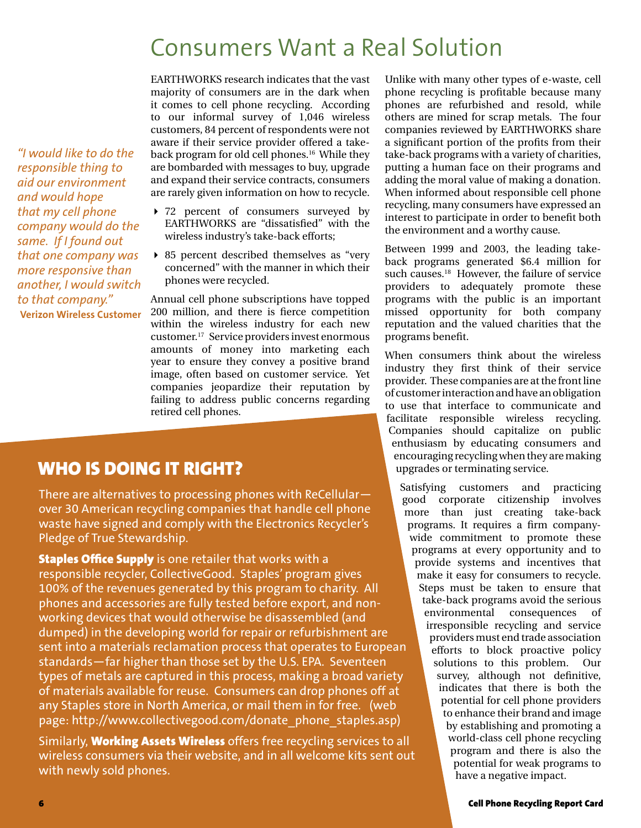# Consumers Want a Real Solution

EARTHWORKS research indicates that the vast majority of consumers are in the dark when it comes to cell phone recycling. According to our informal survey of 1,046 wireless customers, 84 percent of respondents were not aware if their service provider offered a takeback program for old cell phones.<sup>16</sup> While they are bombarded with messages to buy, upgrade and expand their service contracts, consumers are rarely given information on how to recycle.

- ▶ 72 percent of consumers surveyed by EARTHWORKS are "dissatisfied" with the wireless industry's take-back efforts;
- $\triangleright$  85 percent described themselves as "very concerned" with the manner in which their phones were recycled.

Annual cell phone subscriptions have topped 200 million, and there is fierce competition within the wireless industry for each new customer.17 Service providers invest enormous amounts of money into marketing each year to ensure they convey a positive brand image, often based on customer service. Yet companies jeopardize their reputation by failing to address public concerns regarding retired cell phones.

WHO IS DOING IT RIGHT?

There are alternatives to processing phones with ReCellular over 30 American recycling companies that handle cell phone waste have signed and comply with the Electronics Recycler's Pledge of True Stewardship.

**Staples Office Supply** is one retailer that works with a responsible recycler, CollectiveGood. Staples' program gives 100% of the revenues generated by this program to charity. All phones and accessories are fully tested before export, and nonworking devices that would otherwise be disassembled (and dumped) in the developing world for repair or refurbishment are sent into a materials reclamation process that operates to European standards—far higher than those set by the U.S. EPA. Seventeen types of metals are captured in this process, making a broad variety of materials available for reuse. Consumers can drop phones off at any Staples store in North America, or mail them in for free. (web page: http://www.collectivegood.com/donate\_phone\_staples.asp)

Similarly, **Working Assets Wireless** offers free recycling services to all wireless consumers via their website, and in all welcome kits sent out with newly sold phones.

Unlike with many other types of e-waste, cell phone recycling is profitable because many phones are refurbished and resold, while others are mined for scrap metals. The four companies reviewed by EARTHWORKS share a significant portion of the profits from their take-back programs with a variety of charities, putting a human face on their programs and adding the moral value of making a donation. When informed about responsible cell phone recycling, many consumers have expressed an interest to participate in order to benefit both the environment and a worthy cause.

Between 1999 and 2003, the leading takeback programs generated \$6.4 million for such causes.18 However, the failure of service providers to adequately promote these programs with the public is an important missed opportunity for both company reputation and the valued charities that the programs benefit.

When consumers think about the wireless industry they first think of their service provider. These companies are at the frontline of customerinteractionandhave anobligation to use that interface to communicate and facilitate responsible wireless recycling. Companies should capitalize on public enthusiasm by educating consumers and encouraging recycling when they are making upgrades or terminating service.

Satisfying customers and practicing good corporate citizenship involves more than just creating take-back programs. It requires a firm companywide commitment to promote these programs at every opportunity and to provide systems and incentives that make it easy for consumers to recycle. Steps must be taken to ensure that take-back programs avoid the serious environmental consequences of irresponsible recycling and service providers must end trade association efforts to block proactive policy solutions to this problem. Our survey, although not definitive, indicates that there is both the potential for cell phone providers to enhance their brand and image by establishing and promoting a world-class cell phone recycling program and there is also the potential for weak programs to have a negative impact.

*"I would like to do the responsible thing to aid our environment and would hope that my cell phone company would do the same. If I found out that one company was more responsive than another, I would switch to that company."* **Verizon Wireless Customer**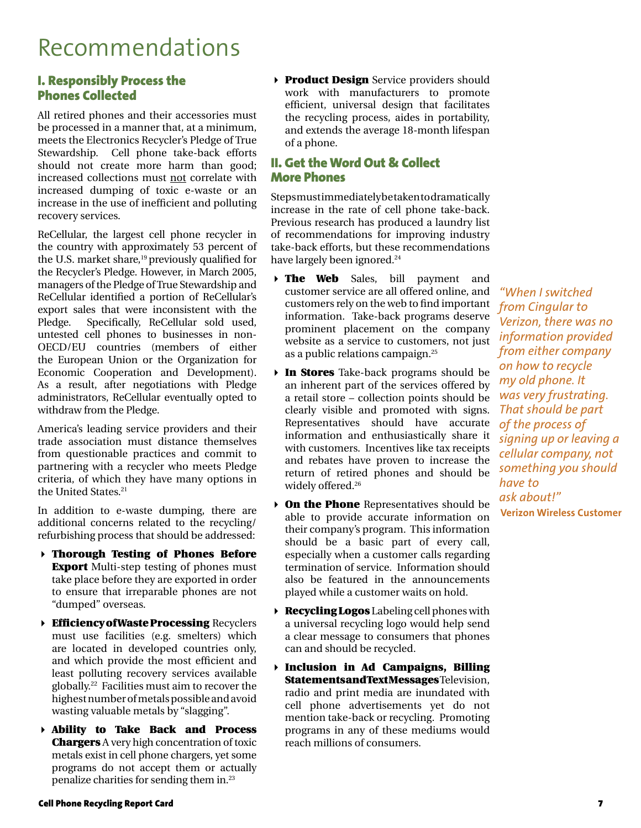# Recommendations

### I. Responsibly Process the Phones Collected

All retired phones and their accessories must be processed in a manner that, at a minimum, meets the Electronics Recycler's Pledge of True Stewardship. Cell phone take-back efforts should not create more harm than good; increased collections must not correlate with increased dumping of toxic e-waste or an increase in the use of inefficient and polluting recovery services.

ReCellular, the largest cell phone recycler in the country with approximately 53 percent of the U.S. market share,<sup>19</sup> previously qualified for the Recycler's Pledge. However, in March 2005, managers of the Pledge of True Stewardship and ReCellular identified a portion of ReCellular's export sales that were inconsistent with the Pledge. Specifically, ReCellular sold used, untested cell phones to businesses in non-OECD/EU countries (members of either the European Union or the Organization for Economic Cooperation and Development). As a result, after negotiations with Pledge administrators, ReCellular eventually opted to withdraw from the Pledge.

America's leading service providers and their trade association must distance themselves from questionable practices and commit to partnering with a recycler who meets Pledge criteria, of which they have many options in the United States.<sup>21</sup>

In addition to e-waste dumping, there are additional concerns related to the recycling/ refurbishing process that should be addressed:

- 4 Thorough Testing of Phones Before Export Multi-step testing of phones must take place before they are exported in order to ensure that irreparable phones are not "dumped" overseas.
- Efficiency of Waste Processing Recyclers must use facilities (e.g. smelters) which are located in developed countries only, and which provide the most efficient and least polluting recovery services available globally.22 Facilities must aim to recover the highest number of metals possible and avoid wasting valuable metals by "slagging".
- 4 Ability to Take Back and Process Chargers A very high concentration of toxic metals exist in cell phone chargers, yet some programs do not accept them or actually penalize charities for sending them in.23

Product Design Service providers should work with manufacturers to promote efficient, universal design that facilitates the recycling process, aides in portability, and extends the average 18-month lifespan of a phone.

### II. Get the Word Out & Collect More Phones

Stepsmustimmediatelybetakentodramatically increase in the rate of cell phone take-back. Previous research has produced a laundry list of recommendations for improving industry take-back efforts, but these recommendations have largely been ignored.<sup>24</sup>

- $\rightarrow$  The Web Sales, bill payment and customer service are all offered online, and customers rely on the web to find important information. Take-back programs deserve prominent placement on the company website as a service to customers, not just as a public relations campaign.25
- In Stores Take-back programs should be an inherent part of the services offered by a retail store – collection points should be clearly visible and promoted with signs. Representatives should have accurate information and enthusiastically share it with customers. Incentives like tax receipts and rebates have proven to increase the return of retired phones and should be widely offered.<sup>26</sup>
- **On the Phone** Representatives should be able to provide accurate information on their company's program. This information should be a basic part of every call, especially when a customer calls regarding termination of service. Information should also be featured in the announcements played while a customer waits on hold.
- $\rightarrow$  **Recycling Logos** Labeling cell phones with a universal recycling logo would help send a clear message to consumers that phones can and should be recycled.
- 4 Inclusion in Ad Campaigns, Billing Statements and Text Messages Television, radio and print media are inundated with cell phone advertisements yet do not mention take-back or recycling. Promoting programs in any of these mediums would reach millions of consumers.

*"When I switched from Cingular to Verizon, there was no information provided from either company on how to recycle my old phone. It was very frustrating. That should be part of the process of signing up or leaving a cellular company, not something you should have to ask about!"*  **Verizon Wireless Customer**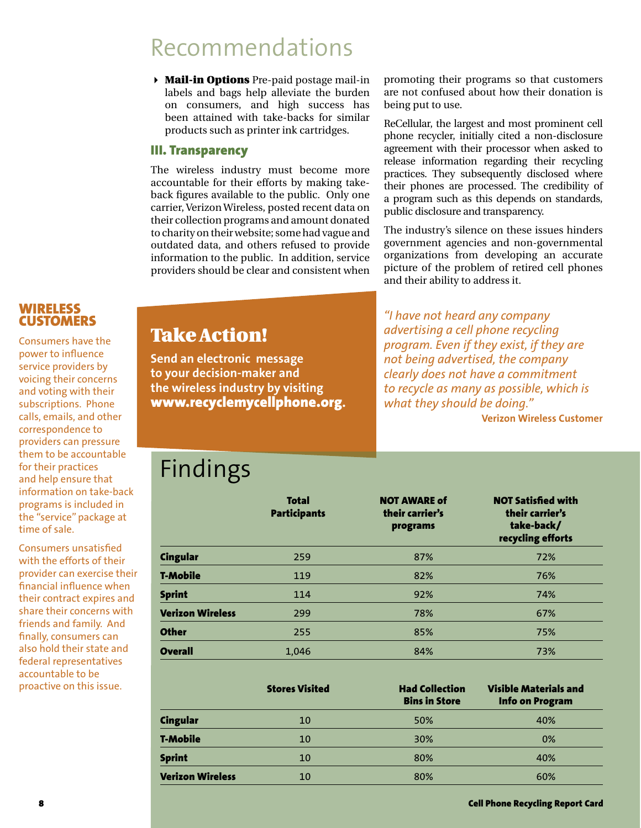# Recommendations

**Mail-in Options** Pre-paid postage mail-in labels and bags help alleviate the burden on consumers, and high success has been attained with take-backs for similar products such as printer ink cartridges.

### III. Transparency

The wireless industry must become more accountable for their efforts by making takeback figures available to the public. Only one carrier, Verizon Wireless, posted recent data on their collection programs and amount donated to charity on their website; some had vague and outdated data, and others refused to provide information to the public. In addition, service providers should be clear and consistent when promoting their programs so that customers are not confused about how their donation is being put to use.

ReCellular, the largest and most prominent cell phone recycler, initially cited a non-disclosure agreement with their processor when asked to release information regarding their recycling practices. They subsequently disclosed where their phones are processed. The credibility of a program such as this depends on standards, public disclosure and transparency.

The industry's silence on these issues hinders government agencies and non-governmental organizations from developing an accurate picture of the problem of retired cell phones and their ability to address it.

*"I have not heard any company advertising a cell phone recycling program. Even if they exist, if they are not being advertised, the company clearly does not have a commitment to recycle as many as possible, which is what they should be doing."* 

**Verizon Wireless Customer**

### **WIRELESS CUSTOMERS**

Consumers have the power to influence service providers by voicing their concerns and voting with their subscriptions. Phone calls, emails, and other correspondence to providers can pressure them to be accountable for their practices and help ensure that information on take-back programs is included in the "service" package at time of sale.

Consumers unsatisfied with the efforts of their provider can exercise their financial influence when their contract expires and share their concerns with friends and family. And finally, consumers can also hold their state and federal representatives accountable to be proactive on this issue.

### Take Action!

**Send an electronic message to your decision-maker and the wireless industry by visiting**  www.recyclemycellphone.org**.**

Findings

|                         | <b>Total</b><br><b>Participants</b> | <b>NOT AWARE of</b><br>their carrier's<br>programs | <b>NOT Satisfied with</b><br>their carrier's<br>take-back/<br>recycling efforts |
|-------------------------|-------------------------------------|----------------------------------------------------|---------------------------------------------------------------------------------|
| <b>Cingular</b>         | 259                                 | 87%                                                | 72%                                                                             |
| <b>T-Mobile</b>         | 119                                 | 82%                                                | 76%                                                                             |
| <b>Sprint</b>           | 114                                 | 92%                                                | 74%                                                                             |
| <b>Verizon Wireless</b> | 299                                 | 78%                                                | 67%                                                                             |
| <b>Other</b>            | 255                                 | 85%                                                | 75%                                                                             |
| <b>Overall</b>          | 1,046                               | 84%                                                | 73%                                                                             |

|                         | <b>Stores Visited</b> | <b>Had Collection</b><br><b>Bins in Store</b> | <b>Visible Materials and</b><br><b>Info on Program</b> |
|-------------------------|-----------------------|-----------------------------------------------|--------------------------------------------------------|
| <b>Cingular</b>         | 10                    | 50%                                           | 40%                                                    |
| <b>T-Mobile</b>         | 10                    | 30%                                           | 0%                                                     |
| <b>Sprint</b>           | 10                    | 80%                                           | 40%                                                    |
| <b>Verizon Wireless</b> | 10                    | 80%                                           | 60%                                                    |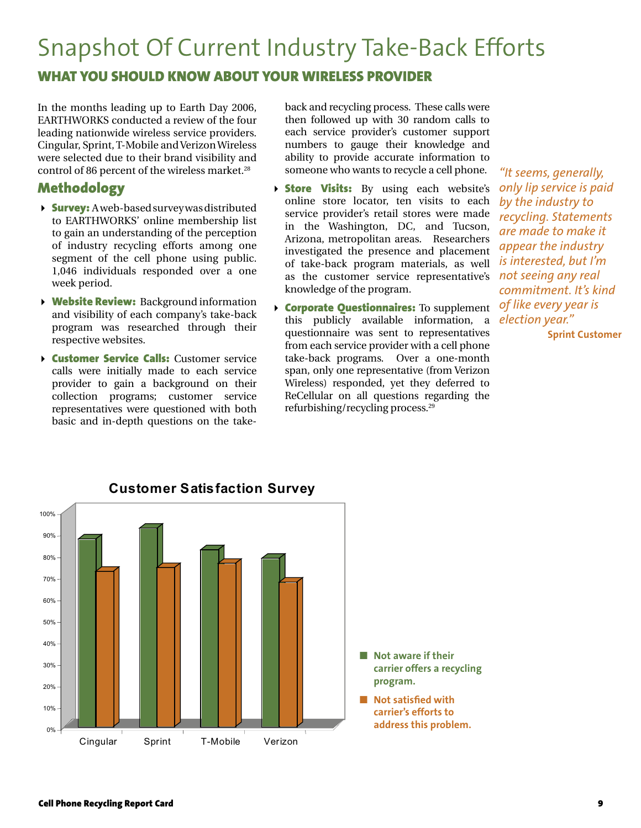# Snapshot Of Current Industry Take-Back Efforts What You Should Know About Your Wireless Provider

In the months leading up to Earth Day 2006, EARTHWORKS conducted a review of the four leading nationwide wireless service providers. Cingular, Sprint, T-Mobile and Verizon Wireless were selected due to their brand visibility and control of 86 percent of the wireless market.<sup>28</sup>

### Methodology

- **5urvey:** Aweb-based survey was distributed to EARTHWORKS' online membership list to gain an understanding of the perception of industry recycling efforts among one segment of the cell phone using public. 1,046 individuals responded over a one week period.
- ◆ Website Review: Background information and visibility of each company's take-back program was researched through their respective websites.
- **Eustomer Service Calls:** Customer service calls were initially made to each service provider to gain a background on their collection programs; customer service representatives were questioned with both basic and in-depth questions on the take-

back and recycling process. These calls were then followed up with 30 random calls to each service provider's customer support numbers to gauge their knowledge and ability to provide accurate information to someone who wants to recycle a cell phone.

- **5tore Visits:** By using each website's online store locator, ten visits to each service provider's retail stores were made in the Washington, DC, and Tucson, Arizona, metropolitan areas. Researchers investigated the presence and placement of take-back program materials, as well as the customer service representative's knowledge of the program.
- **Corporate Questionnaires:** To supplement this publicly available information, a questionnaire was sent to representatives from each service provider with a cell phone take-back programs. Over a one-month span, only one representative (from Verizon Wireless) responded, yet they deferred to ReCellular on all questions regarding the refurbishing/recycling process.29

*"It seems, generally, only lip service is paid by the industry to recycling. Statements are made to make it appear the industry is interested, but I'm not seeing any real commitment. It's kind of like every year is election year."* 

**Sprint Customer**



### **Customer Satisfaction Survey**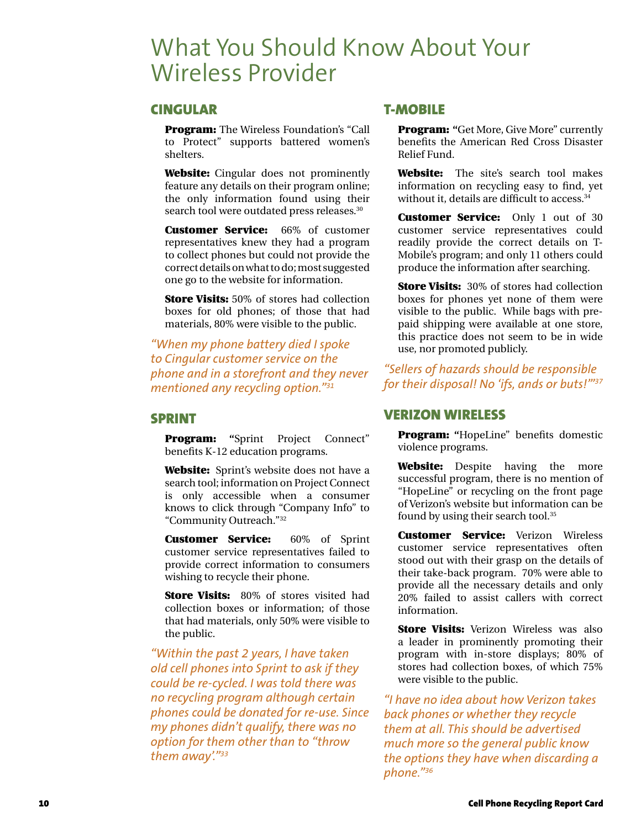## What You Should Know About Your Wireless Provider

### **CINGULAR**

Program: The Wireless Foundation's "Call to Protect" supports battered women's shelters.

Website: Cingular does not prominently feature any details on their program online; the only information found using their search tool were outdated press releases.<sup>30</sup>

Customer Service: 66% of customer representatives knew they had a program to collect phones but could not provide the correct details on what to do; most suggested one go to the website for information.

Store Visits: 50% of stores had collection boxes for old phones; of those that had materials, 80% were visible to the public.

*"When my phone battery died I spoke to Cingular customer service on the phone and in a storefront and they never mentioned any recycling option."31*

### **SPRINT**

Program: **"**Sprint Project Connect" benefits K-12 education programs.

Website: Sprint's website does not have a search tool; information on Project Connect is only accessible when a consumer knows to click through "Company Info" to "Community Outreach."32

Customer Service: 60% of Sprint customer service representatives failed to provide correct information to consumers wishing to recycle their phone.

**Store Visits:** 80% of stores visited had collection boxes or information; of those that had materials, only 50% were visible to the public.

*"Within the past 2 years, I have taken old cell phones into Sprint to ask if they could be re-cycled. I was told there was no recycling program although certain phones could be donated for re-use. Since my phones didn't qualify, there was no option for them other than to "throw them away'."33*

### T-Mobile

Program: **"**Get More, Give More" currently benefits the American Red Cross Disaster Relief Fund.

Website: The site's search tool makes information on recycling easy to find, yet without it, details are difficult to access.<sup>34</sup>

Customer Service: Only 1 out of 30 customer service representatives could readily provide the correct details on T-Mobile's program; and only 11 others could produce the information after searching.

**Store Visits:** 30% of stores had collection boxes for phones yet none of them were visible to the public. While bags with prepaid shipping were available at one store, this practice does not seem to be in wide use, nor promoted publicly.

### *"Sellers of hazards should be responsible for their disposal! No 'ifs, ands or buts!'"37*

### Verizon Wireless

Program: **"**HopeLine" benefits domestic violence programs.

Website: Despite having the more successful program, there is no mention of "HopeLine" or recycling on the front page of Verizon's website but information can be found by using their search tool.<sup>35</sup>

Customer Service: Verizon Wireless customer service representatives often stood out with their grasp on the details of their take-back program. 70% were able to provide all the necessary details and only 20% failed to assist callers with correct information.

**Store Visits:** Verizon Wireless was also a leader in prominently promoting their program with in-store displays; 80% of stores had collection boxes, of which 75% were visible to the public.

*"I have no idea about how Verizon takes back phones or whether they recycle them at all. This should be advertised much more so the general public know the options they have when discarding a phone."36*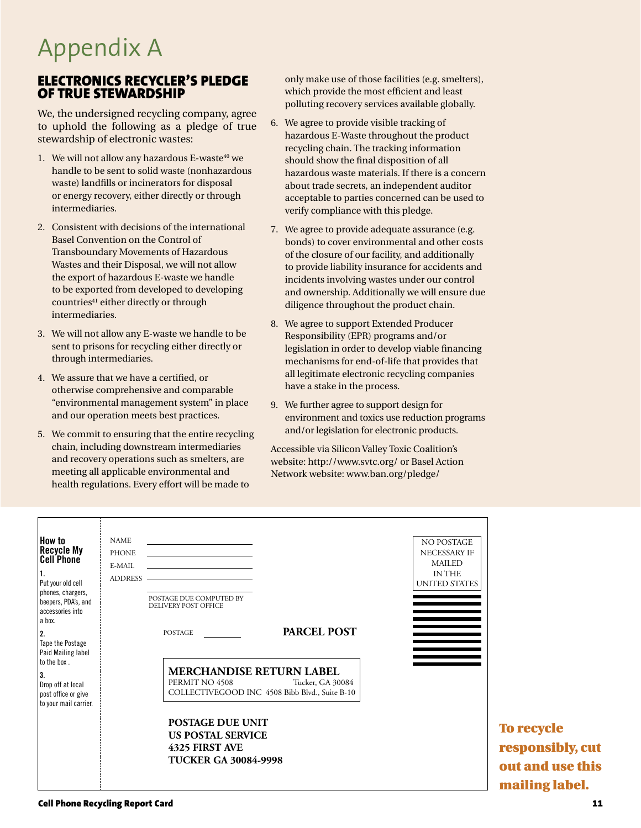# Appendix A

### Electronics Recycler's Pledge of True Stewardship

We, the undersigned recycling company, agree to uphold the following as a pledge of true stewardship of electronic wastes:

- 1. We will not allow any hazardous  $E$ -waste<sup>40</sup> we handle to be sent to solid waste (nonhazardous waste) landfills or incinerators for disposal or energy recovery, either directly or through intermediaries.
- 2. Consistent with decisions of the international Basel Convention on the Control of Transboundary Movements of Hazardous Wastes and their Disposal, we will not allow the export of hazardous E-waste we handle to be exported from developed to developing countries<sup>41</sup> either directly or through intermediaries.
- 3. We will not allow any E-waste we handle to be sent to prisons for recycling either directly or through intermediaries.
- 4. We assure that we have a certified, or otherwise comprehensive and comparable "environmental management system" in place and our operation meets best practices.
- 5. We commit to ensuring that the entire recycling chain, including downstream intermediaries and recovery operations such as smelters, are meeting all applicable environmental and health regulations. Every effort will be made to

only make use of those facilities (e.g. smelters), which provide the most efficient and least polluting recovery services available globally.

- 6. We agree to provide visible tracking of hazardous E-Waste throughout the product recycling chain. The tracking information should show the final disposition of all hazardous waste materials. If there is a concern about trade secrets, an independent auditor acceptable to parties concerned can be used to verify compliance with this pledge.
- 7. We agree to provide adequate assurance (e.g. bonds) to cover environmental and other costs of the closure of our facility, and additionally to provide liability insurance for accidents and incidents involving wastes under our control and ownership. Additionally we will ensure due diligence throughout the product chain.
- 8. We agree to support Extended Producer Responsibility (EPR) programs and/or legislation in order to develop viable financing mechanisms for end-of-life that provides that all legitimate electronic recycling companies have a stake in the process.
- 9. We further agree to support design for environment and toxics use reduction programs and/or legislation for electronic products.

Accessible via Silicon Valley Toxic Coalition's website: http://www.svtc.org/ or Basel Action Network website: www.ban.org/pledge/

| How to<br><b>Recycle My</b><br><b>Cell Phone</b><br>1.<br>Put your old cell<br>phones, chargers,<br>beepers, PDA's, and<br>accessories into<br>a box.<br>2.<br>Tape the Postage | <b>NAME</b><br><b>PHONE</b><br>E-MAIL<br>ADDRESS - | POSTAGE DUE COMPUTED BY<br>DELIVERY POST OFFICE<br><b>PARCEL POST</b><br>POSTAGE                                        | <b>NO POSTAGE</b><br><b>NECESSARY IF</b><br><b>MAILED</b><br><b>IN THE</b><br>UNITED STATES |
|---------------------------------------------------------------------------------------------------------------------------------------------------------------------------------|----------------------------------------------------|-------------------------------------------------------------------------------------------------------------------------|---------------------------------------------------------------------------------------------|
| Paid Mailing label<br>to the box.<br>3.<br>Drop off at local<br>post office or give<br>to your mail carrier.                                                                    |                                                    | <b>MERCHANDISE RETURN LABEL</b><br>PERMIT NO 4508<br>Tucker, GA 30084<br>COLLECTIVEGOOD INC 4508 Bibb Blvd., Suite B-10 |                                                                                             |
|                                                                                                                                                                                 |                                                    | <b>POSTAGE DUE UNIT</b><br><b>US POSTAL SERVICE</b><br><b>4325 FIRST AVE</b><br><b>TUCKER GA 30084-9998</b>             |                                                                                             |

To recycle responsibly, cut out and use this mailing label.